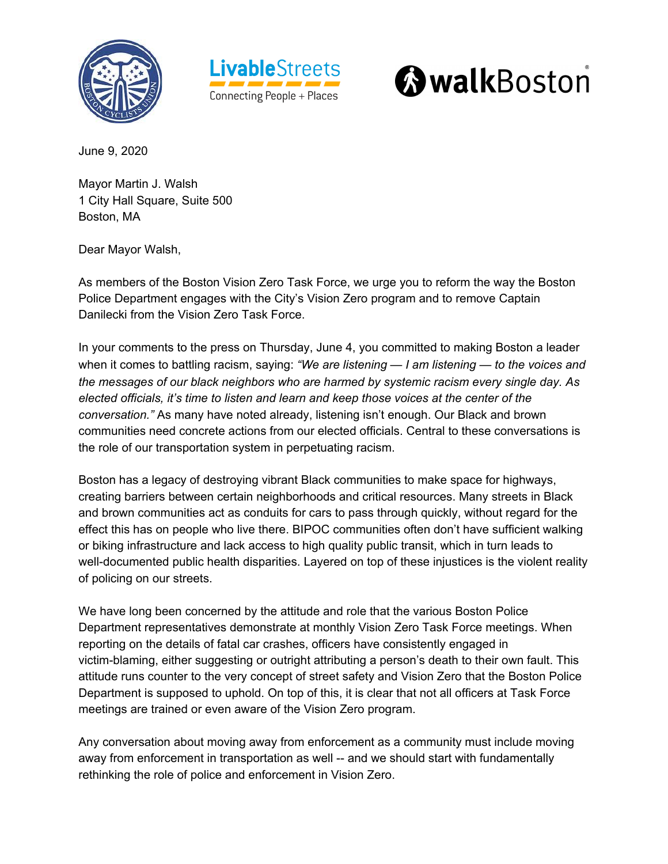





June 9, 2020

Mayor Martin J. Walsh 1 City Hall Square, Suite 500 Boston, MA

Dear Mayor Walsh,

As members of the Boston Vision Zero Task Force, we urge you to reform the way the Boston Police Department engages with the City's Vision Zero program and to remove Captain Danilecki from the Vision Zero Task Force.

In your comments to the press on Thursday, June 4, you committed to making Boston a leader when it comes to battling racism, saying: *"We are listening — I am listening — to the voices and the messages of our black neighbors who are harmed by systemic racism every single day. As elected officials, it's time to listen and learn and keep those voices at the center of the conversation."* As many have noted already, listening isn't enough. Our Black and brown communities need concrete actions from our elected officials. Central to these conversations is the role of our transportation system in perpetuating racism.

Boston has a legacy of destroying vibrant Black communities to make space for highways, creating barriers between certain neighborhoods and critical resources. Many streets in Black and brown communities act as conduits for cars to pass through quickly, without regard for the effect this has on people who live there. BIPOC communities often don't have sufficient walking or biking infrastructure and lack access to high quality public transit, which in turn leads to well-documented public health disparities. Layered on top of these injustices is the violent reality of policing on our streets.

We have long been concerned by the attitude and role that the various Boston Police Department representatives demonstrate at monthly Vision Zero Task Force meetings. When reporting on the details of fatal car crashes, officers have consistently engaged in victim-blaming, either suggesting or outright attributing a person's death to their own fault. This attitude runs counter to the very concept of street safety and Vision Zero that the Boston Police Department is supposed to uphold. On top of this, it is clear that not all officers at Task Force meetings are trained or even aware of the Vision Zero program.

Any conversation about moving away from enforcement as a community must include moving away from enforcement in transportation as well -- and we should start with fundamentally rethinking the role of police and enforcement in Vision Zero.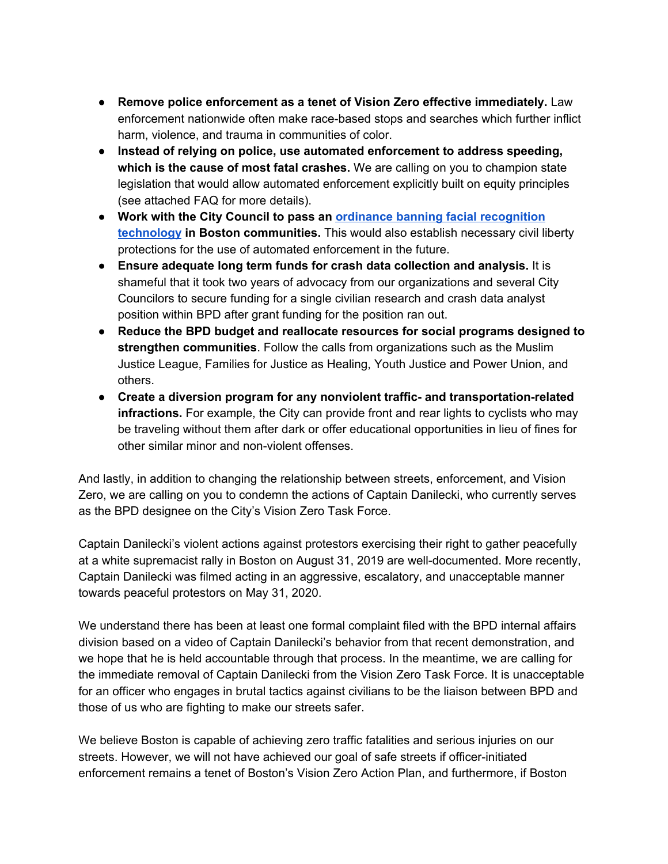- **Remove police enforcement as a tenet of Vision Zero effective immediately.** Law enforcement nationwide often make race-based stops and searches which further inflict harm, violence, and trauma in communities of color.
- **Instead of relying on police, use automated enforcement to address speeding, which is the cause of most fatal crashes.** We are calling on you to champion state legislation that would allow automated enforcement explicitly built on equity principles (see attached FAQ for more details).
- **Work with the City Council to pass an ordinance banning facial [recognition](https://www.boston.gov/sites/default/files/file/2020/06/Docket%20%230683.PDF) [technology](https://www.boston.gov/sites/default/files/file/2020/06/Docket%20%230683.PDF) in Boston communities.** This would also establish necessary civil liberty protections for the use of automated enforcement in the future.
- **Ensure adequate long term funds for crash data collection and analysis.** It is shameful that it took two years of advocacy from our organizations and several City Councilors to secure funding for a single civilian research and crash data analyst position within BPD after grant funding for the position ran out.
- **Reduce the BPD budget and reallocate resources for social programs designed to strengthen communities**. Follow the calls from organizations such as the Muslim Justice League, Families for Justice as Healing, Youth Justice and Power Union, and others.
- **Create a diversion program for any nonviolent traffic- and transportation-related infractions.** For example, the City can provide front and rear lights to cyclists who may be traveling without them after dark or offer educational opportunities in lieu of fines for other similar minor and non-violent offenses.

And lastly, in addition to changing the relationship between streets, enforcement, and Vision Zero, we are calling on you to condemn the actions of Captain Danilecki, who currently serves as the BPD designee on the City's Vision Zero Task Force.

Captain Danilecki's violent actions against protestors exercising their right to gather peacefully at a white supremacist rally in Boston on August 31, 2019 are well-documented. More recently, Captain Danilecki was filmed acting in an aggressive, escalatory, and unacceptable manner towards peaceful protestors on May 31, 2020.

We understand there has been at least one formal complaint filed with the BPD internal affairs division based on a video of Captain Danilecki's behavior from that recent demonstration, and we hope that he is held accountable through that process. In the meantime, we are calling for the immediate removal of Captain Danilecki from the Vision Zero Task Force. It is unacceptable for an officer who engages in brutal tactics against civilians to be the liaison between BPD and those of us who are fighting to make our streets safer.

We believe Boston is capable of achieving zero traffic fatalities and serious injuries on our streets. However, we will not have achieved our goal of safe streets if officer-initiated enforcement remains a tenet of Boston's Vision Zero Action Plan, and furthermore, if Boston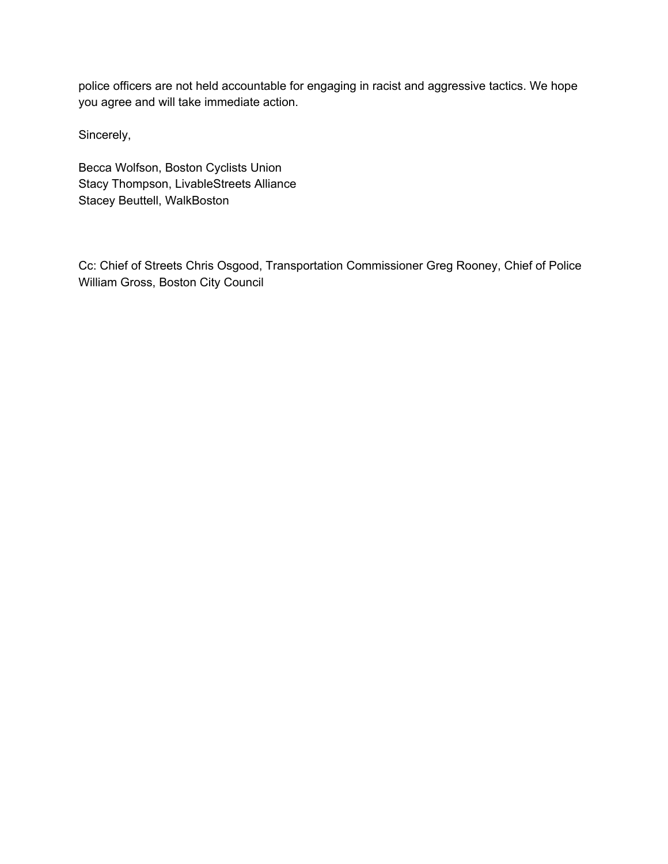police officers are not held accountable for engaging in racist and aggressive tactics. We hope you agree and will take immediate action.

Sincerely,

Becca Wolfson, Boston Cyclists Union Stacy Thompson, LivableStreets Alliance Stacey Beuttell, WalkBoston

Cc: Chief of Streets Chris Osgood, Transportation Commissioner Greg Rooney, Chief of Police William Gross, Boston City Council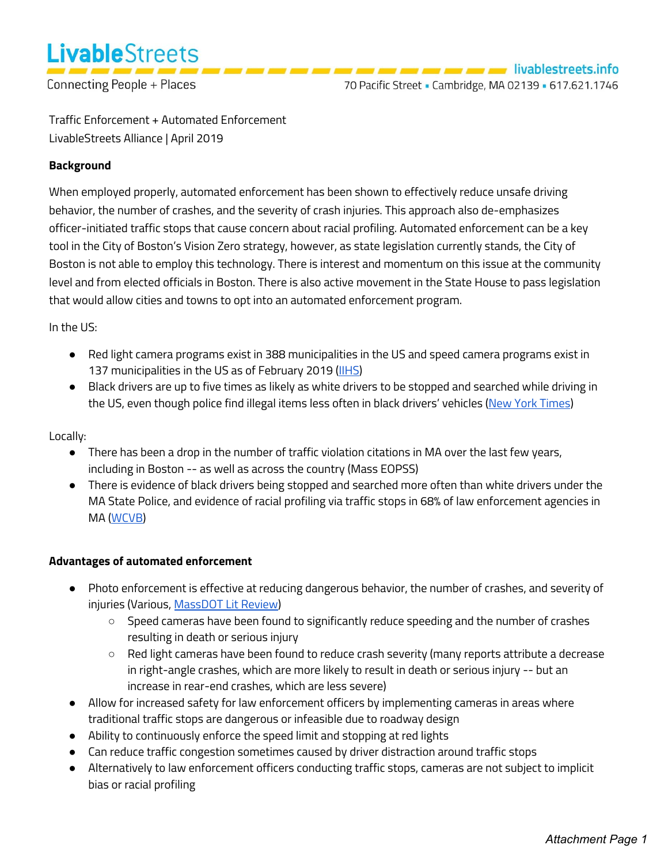

Connecting People + Places

Traffic Enforcement + Automated Enforcement LivableStreets Alliance | April 2019

# **Background**

When employed properly, automated enforcement has been shown to effectively reduce unsafe driving behavior, the number of crashes, and the severity of crash injuries. This approach also de-emphasizes officer-initiated traffic stops that cause concern about racial profiling. Automated enforcement can be a key tool in the City of Boston's Vision Zero strategy, however, as state legislation currently stands, the City of Boston is not able to employ this technology. There is interest and momentum on this issue at the community level and from elected officials in Boston. There is also active movement in the State House to pass legislation that would allow cities and towns to opt into an automated enforcement program.

In the US:

- Red light camera programs exist in 388 municipalities in the US and speed camera programs exist in 137 municipalities in the US as of February 2019 [\(IIHS](https://www.iihs.org/iihs/topics/laws/automated_enforcement?topicName=red-light-running#map))
- Black drivers are up to five times as likely as white drivers to be stopped and searched while driving in the US, even though police find illegal items less often in black drivers' vehicles ([New York Times\)](http://www.nytimes.com/2015/10/25/us/racial-disparity-traffic-stops-driving-black.html)

Locally:

- There has been a drop in the number of traffic violation citations in MA over the last few years, including in Boston -- as well as across the country (Mass EOPSS)
- There is evidence of black drivers being stopped and searched more often than white drivers under the MA State Police, and evidence of racial profiling via traffic stops in 68% of law enforcement agencies in MA [\(WCVB](https://www.wcvb.com/article/black-hispanic-drivers-searched-more-often-than-white-drivers-data-shows/13532030))

### **Advantages of automated enforcement**

- Photo enforcement is effective at reducing dangerous behavior, the number of crashes, and severity of injuries (Various, [MassDOT Lit Review\)](https://docs.google.com/spreadsheets/d/1bE6Y2f7JTi9Je-58W0rQytbRZwEVtwjuEt41uJG2-dw/edit?usp=sharing)
	- Speed cameras have been found to significantly reduce speeding and the number of crashes resulting in death or serious injury
	- Red light cameras have been found to reduce crash severity (many reports attribute a decrease in right-angle crashes, which are more likely to result in death or serious injury -- but an increase in rear-end crashes, which are less severe)
- Allow for increased safety for law enforcement officers by implementing cameras in areas where traditional traffic stops are dangerous or infeasible due to roadway design
- Ability to continuously enforce the speed limit and stopping at red lights
- Can reduce traffic congestion sometimes caused by driver distraction around traffic stops
- Alternatively to law enforcement officers conducting traffic stops, cameras are not subject to implicit bias or racial profiling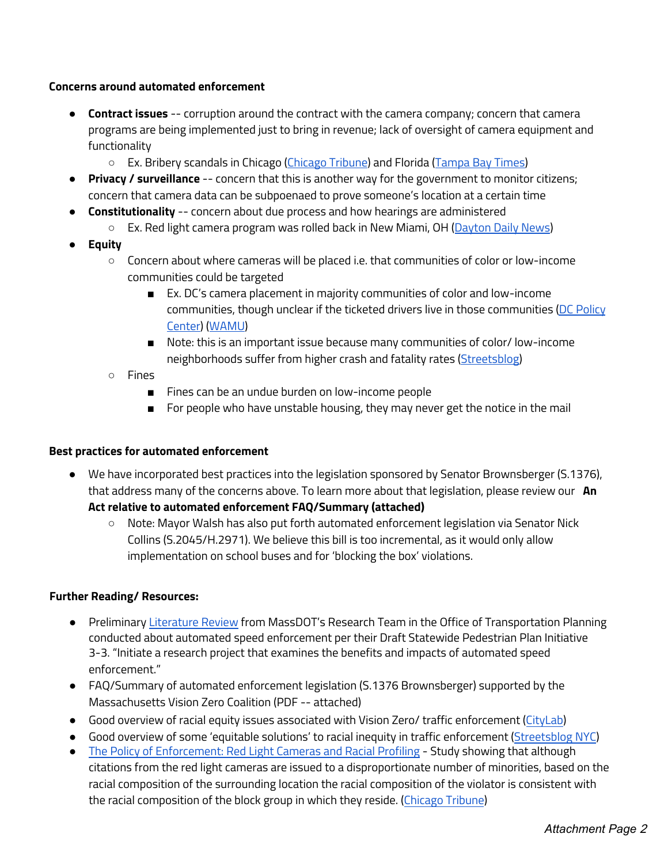#### **Concerns around automated enforcement**

- **Contract issues** -- corruption around the contract with the camera company; concern that camera programs are being implemented just to bring in revenue; lack of oversight of camera equipment and functionality
	- Ex. Bribery scandals in Chicago (Chicago Tribune) and Florida (Tampa Bay Times)
- **Privacy / surveillance** -- concern that this is another way for the government to monitor citizens; concern that camera data can be subpoenaed to prove someone's location at a certain time
- **Constitutionality** -- concern about due [process and how](https://www.chicagotribune.com/news/ct-red-light-camera-ticket-spikes-met-20140717-story.html) hearings ar[e administered](https://www.tampabay.com/news/politics/stateroundup/lawmaker-calls-for-state-investigation-into-red-light-camera-company/2237388)
	- Ex. Red light camera program was rolled back in New Miami, OH (Dayton Daily News)
- **● Equity**
	- Concern about where cameras will be placed i.e. that communities of color or low-income communities could be targeted
		- Ex. DC's camera placement in majority communities of color and low-income communities, though unclear if the ticketed drivers live in those communities (DC Policy Center) (WAMU)
		- Note: this is an important issue because many communities of color/ low-income neighborhoods suffer from higher crash and fatality rates (Streetsblog)
	- Fines
		- Fines can be an undue burden on low-income people
		- For people who have unstable housing, they may never ge[t the notice i](https://nyc.streetsblog.org/2016/03/09/racial-inequity-in-traffic-enforcement/)n the mail

### **Best practices for automated enforcement**

- We have incorporated best practices into the legislation sponsored by Senator Brownsberger (S.1376), that address many of the concerns above. To learn more about that legislation, please review our **An Act relative to automated enforcement FAQ/Summary (attached)**
	- Note: Mayor Walsh has also put forth automated enforcement legislation via Senator Nick Collins (S.2045/H.2971). We believe this bill is too incremental, as it would only allow implementation on school buses and for 'blocking the box' violations.

### **Further Reading/ Resources:**

- Preliminary Literature Review from MassDOT's Research Team in the Office of Transportation Planning conducted about automated speed enforcement per their Draft Statewide Pedestrian Plan Initiative 3-3. "Initiate a research project that examines the benefits and impacts of automated speed enforcement."
- FAQ/Summary of automated enforcement legislation (S.1376 Brownsberger) supported by the Massachusetts Vision Zero Coalition (PDF -- attached)
- Good overview of racial equity issues associated with Vision Zero/ traffic enforcement (CityLab)
- Good overview of some 'equitable solutions' to racial inequity in traffic enforcement (Streetsblog NYC) ● The Policy of Enforcement: Red Light Cameras and Racial Profiling - Study showing that although
- citations from the red light cameras are issued to a disproportionate number of minorities, based on the racial composition of the surrounding location the racial composition of the violator is consistent with the racial composition of the block group in which they reside. (Chicago Tribune)